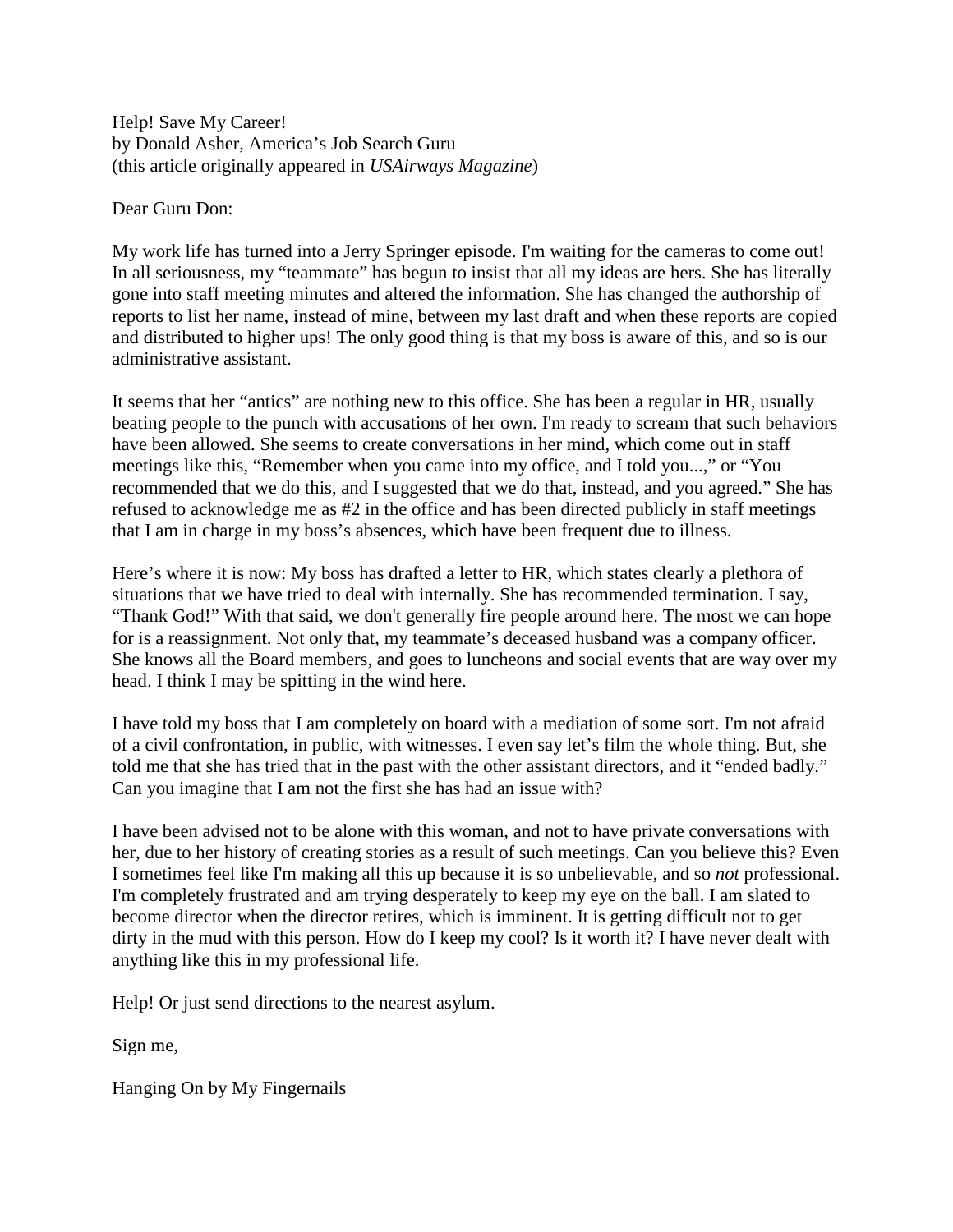Help! Save My Career! by Donald Asher, America's Job Search Guru (this article originally appeared in *USAirways Magazine*)

Dear Guru Don:

My work life has turned into a Jerry Springer episode. I'm waiting for the cameras to come out! In all seriousness, my "teammate" has begun to insist that all my ideas are hers. She has literally gone into staff meeting minutes and altered the information. She has changed the authorship of reports to list her name, instead of mine, between my last draft and when these reports are copied and distributed to higher ups! The only good thing is that my boss is aware of this, and so is our administrative assistant.

It seems that her "antics" are nothing new to this office. She has been a regular in HR, usually beating people to the punch with accusations of her own. I'm ready to scream that such behaviors have been allowed. She seems to create conversations in her mind, which come out in staff meetings like this, "Remember when you came into my office, and I told you...," or "You recommended that we do this, and I suggested that we do that, instead, and you agreed." She has refused to acknowledge me as #2 in the office and has been directed publicly in staff meetings that I am in charge in my boss's absences, which have been frequent due to illness.

Here's where it is now: My boss has drafted a letter to HR, which states clearly a plethora of situations that we have tried to deal with internally. She has recommended termination. I say, "Thank God!" With that said, we don't generally fire people around here. The most we can hope for is a reassignment. Not only that, my teammate's deceased husband was a company officer. She knows all the Board members, and goes to luncheons and social events that are way over my head. I think I may be spitting in the wind here.

I have told my boss that I am completely on board with a mediation of some sort. I'm not afraid of a civil confrontation, in public, with witnesses. I even say let's film the whole thing. But, she told me that she has tried that in the past with the other assistant directors, and it "ended badly." Can you imagine that I am not the first she has had an issue with?

I have been advised not to be alone with this woman, and not to have private conversations with her, due to her history of creating stories as a result of such meetings. Can you believe this? Even I sometimes feel like I'm making all this up because it is so unbelievable, and so *not* professional. I'm completely frustrated and am trying desperately to keep my eye on the ball. I am slated to become director when the director retires, which is imminent. It is getting difficult not to get dirty in the mud with this person. How do I keep my cool? Is it worth it? I have never dealt with anything like this in my professional life.

Help! Or just send directions to the nearest asylum.

Sign me,

Hanging On by My Fingernails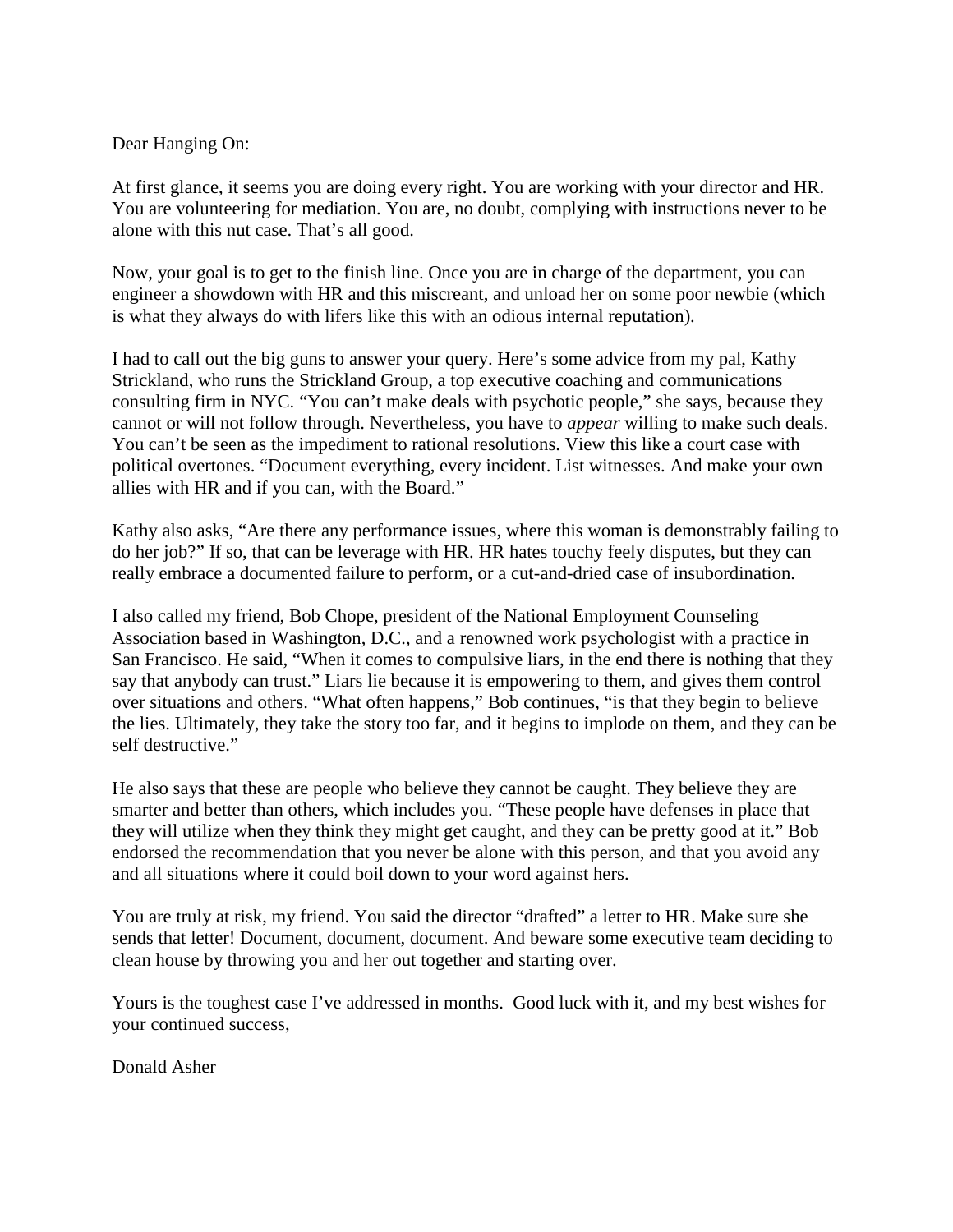## Dear Hanging On:

At first glance, it seems you are doing every right. You are working with your director and HR. You are volunteering for mediation. You are, no doubt, complying with instructions never to be alone with this nut case. That's all good.

Now, your goal is to get to the finish line. Once you are in charge of the department, you can engineer a showdown with HR and this miscreant, and unload her on some poor newbie (which is what they always do with lifers like this with an odious internal reputation).

I had to call out the big guns to answer your query. Here's some advice from my pal, Kathy Strickland, who runs the Strickland Group, a top executive coaching and communications consulting firm in NYC. "You can't make deals with psychotic people," she says, because they cannot or will not follow through. Nevertheless, you have to *appear* willing to make such deals. You can't be seen as the impediment to rational resolutions. View this like a court case with political overtones. "Document everything, every incident. List witnesses. And make your own allies with HR and if you can, with the Board."

Kathy also asks, "Are there any performance issues, where this woman is demonstrably failing to do her job?" If so, that can be leverage with HR. HR hates touchy feely disputes, but they can really embrace a documented failure to perform, or a cut-and-dried case of insubordination.

I also called my friend, Bob Chope, president of the National Employment Counseling Association based in Washington, D.C., and a renowned work psychologist with a practice in San Francisco. He said, "When it comes to compulsive liars, in the end there is nothing that they say that anybody can trust." Liars lie because it is empowering to them, and gives them control over situations and others. "What often happens," Bob continues, "is that they begin to believe the lies. Ultimately, they take the story too far, and it begins to implode on them, and they can be self destructive."

He also says that these are people who believe they cannot be caught. They believe they are smarter and better than others, which includes you. "These people have defenses in place that they will utilize when they think they might get caught, and they can be pretty good at it." Bob endorsed the recommendation that you never be alone with this person, and that you avoid any and all situations where it could boil down to your word against hers.

You are truly at risk, my friend. You said the director "drafted" a letter to HR. Make sure she sends that letter! Document, document, document. And beware some executive team deciding to clean house by throwing you and her out together and starting over.

Yours is the toughest case I've addressed in months. Good luck with it, and my best wishes for your continued success,

Donald Asher